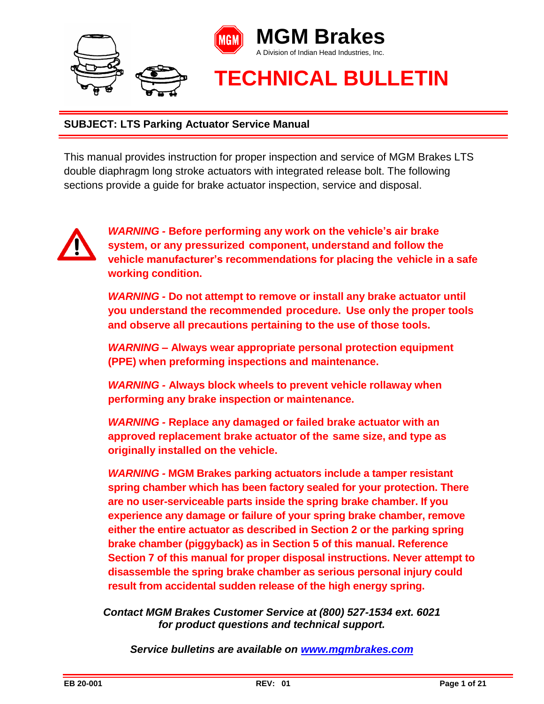

This manual provides instruction for proper inspection and service of MGM Brakes LTS double diaphragm long stroke actuators with integrated release bolt. The following sections provide a guide for brake actuator inspection, service and disposal.



*WARNING -* **Before performing any work on the vehicle's air brake system, or any pressurized component, understand and follow the vehicle manufacturer's recommendations for placing the vehicle in a safe working condition.**

*WARNING -* **Do not attempt to remove or install any brake actuator until you understand the recommended procedure. Use only the proper tools and observe all precautions pertaining to the use of those tools.**

*WARNING –* **Always wear appropriate personal protection equipment (PPE) when preforming inspections and maintenance.** 

*WARNING -* **Always block wheels to prevent vehicle rollaway when performing any brake inspection or maintenance.**

*WARNING -* **Replace any damaged or failed brake actuator with an approved replacement brake actuator of the same size, and type as originally installed on the vehicle.**

*WARNING -* **MGM Brakes parking actuators include a tamper resistant spring chamber which has been factory sealed for your protection. There are no user-serviceable parts inside the spring brake chamber. If you experience any damage or failure of your spring brake chamber, remove either the entire actuator as described in Section 2 or the parking spring brake chamber (piggyback) as in Section 5 of this manual. Reference Section 7 of this manual for proper disposal instructions. Never attempt to disassemble the spring brake chamber as serious personal injury could result from accidental sudden release of the high energy spring.**

*Contact MGM Brakes Customer Service at (800) 527-1534 ext. 6021 for product questions and technical support.*

*Service bulletins are available on [www.mgmbrakes.com](http://www.mgmbrakes.com/)*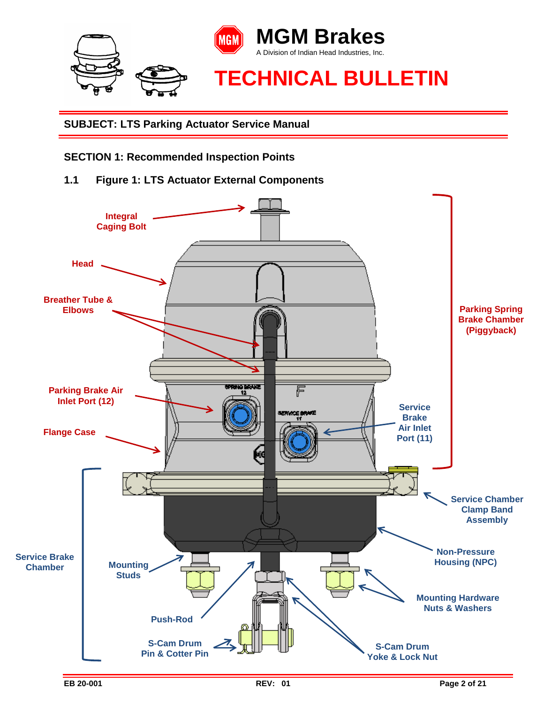

**SECTION 1: Recommended Inspection Points**

**1.1 Figure 1: LTS Actuator External Components**

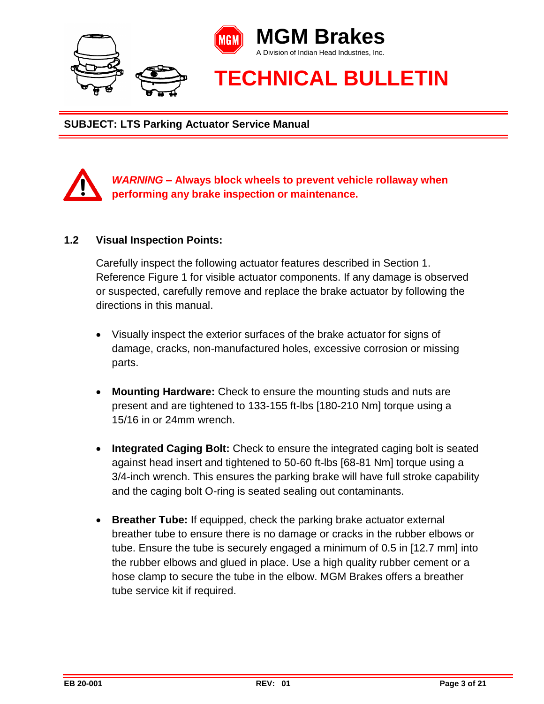



# *WARNING –* **Always block wheels to prevent vehicle rollaway when performing any brake inspection or maintenance.**

#### **1.2 Visual Inspection Points:**

Carefully inspect the following actuator features described in Section 1. Reference Figure 1 for visible actuator components. If any damage is observed or suspected, carefully remove and replace the brake actuator by following the directions in this manual.

- Visually inspect the exterior surfaces of the brake actuator for signs of damage, cracks, non-manufactured holes, excessive corrosion or missing parts.
- **Mounting Hardware:** Check to ensure the mounting studs and nuts are present and are tightened to 133-155 ft-lbs [180-210 Nm] torque using a 15/16 in or 24mm wrench.
- **Integrated Caging Bolt:** Check to ensure the integrated caging bolt is seated against head insert and tightened to 50-60 ft-lbs [68-81 Nm] torque using a 3/4-inch wrench. This ensures the parking brake will have full stroke capability and the caging bolt O-ring is seated sealing out contaminants.
- **Breather Tube:** If equipped, check the parking brake actuator external breather tube to ensure there is no damage or cracks in the rubber elbows or tube. Ensure the tube is securely engaged a minimum of 0.5 in [12.7 mm] into the rubber elbows and glued in place. Use a high quality rubber cement or a hose clamp to secure the tube in the elbow. MGM Brakes offers a breather tube service kit if required.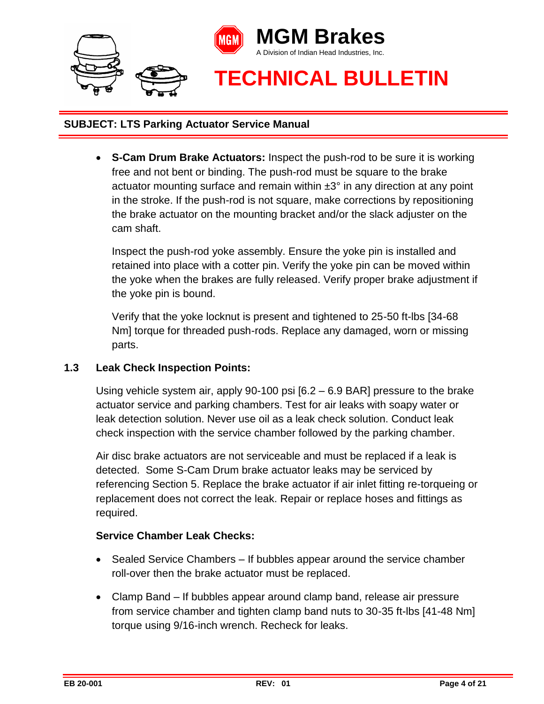

 **S-Cam Drum Brake Actuators:** Inspect the push-rod to be sure it is working free and not bent or binding. The push-rod must be square to the brake actuator mounting surface and remain within  $\pm 3^\circ$  in any direction at any point in the stroke. If the push-rod is not square, make corrections by repositioning the brake actuator on the mounting bracket and/or the slack adjuster on the cam shaft.

Inspect the push-rod yoke assembly. Ensure the yoke pin is installed and retained into place with a cotter pin. Verify the yoke pin can be moved within the yoke when the brakes are fully released. Verify proper brake adjustment if the yoke pin is bound.

Verify that the yoke locknut is present and tightened to 25-50 ft-lbs [34-68 Nm] torque for threaded push-rods. Replace any damaged, worn or missing parts.

### **1.3 Leak Check Inspection Points:**

Using vehicle system air, apply 90-100 psi [6.2 – 6.9 BAR] pressure to the brake actuator service and parking chambers. Test for air leaks with soapy water or leak detection solution. Never use oil as a leak check solution. Conduct leak check inspection with the service chamber followed by the parking chamber.

Air disc brake actuators are not serviceable and must be replaced if a leak is detected. Some S-Cam Drum brake actuator leaks may be serviced by referencing Section 5. Replace the brake actuator if air inlet fitting re-torqueing or replacement does not correct the leak. Repair or replace hoses and fittings as required.

### **Service Chamber Leak Checks:**

- Sealed Service Chambers If bubbles appear around the service chamber roll-over then the brake actuator must be replaced.
- Clamp Band If bubbles appear around clamp band, release air pressure from service chamber and tighten clamp band nuts to 30-35 ft-lbs [41-48 Nm] torque using 9/16-inch wrench. Recheck for leaks.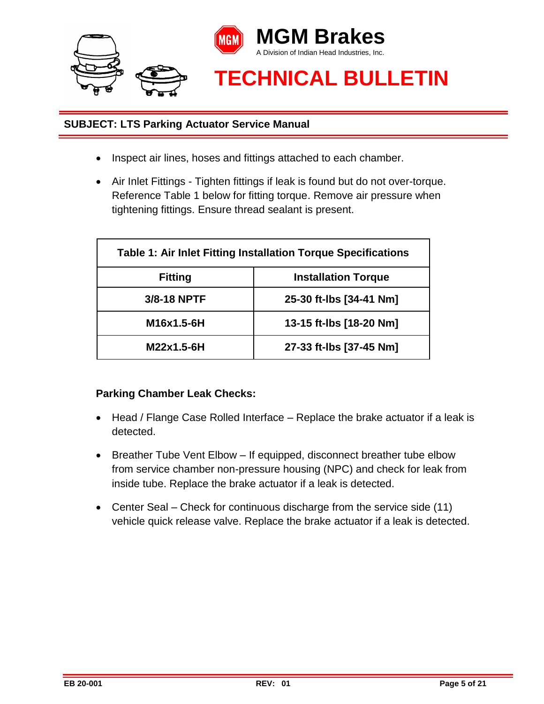

- Inspect air lines, hoses and fittings attached to each chamber.
- Air Inlet Fittings Tighten fittings if leak is found but do not over-torque. Reference Table 1 below for fitting torque. Remove air pressure when tightening fittings. Ensure thread sealant is present.

| Table 1: Air Inlet Fitting Installation Torque Specifications |                            |  |
|---------------------------------------------------------------|----------------------------|--|
| <b>Fitting</b>                                                | <b>Installation Torque</b> |  |
| 3/8-18 NPTF                                                   | 25-30 ft-lbs [34-41 Nm]    |  |
| M16x1.5-6H                                                    | 13-15 ft-lbs [18-20 Nm]    |  |
| M22x1.5-6H                                                    | 27-33 ft-lbs [37-45 Nm]    |  |

# **Parking Chamber Leak Checks:**

- Head / Flange Case Rolled Interface Replace the brake actuator if a leak is detected.
- Breather Tube Vent Elbow If equipped, disconnect breather tube elbow from service chamber non-pressure housing (NPC) and check for leak from inside tube. Replace the brake actuator if a leak is detected.
- Center Seal Check for continuous discharge from the service side (11) vehicle quick release valve. Replace the brake actuator if a leak is detected.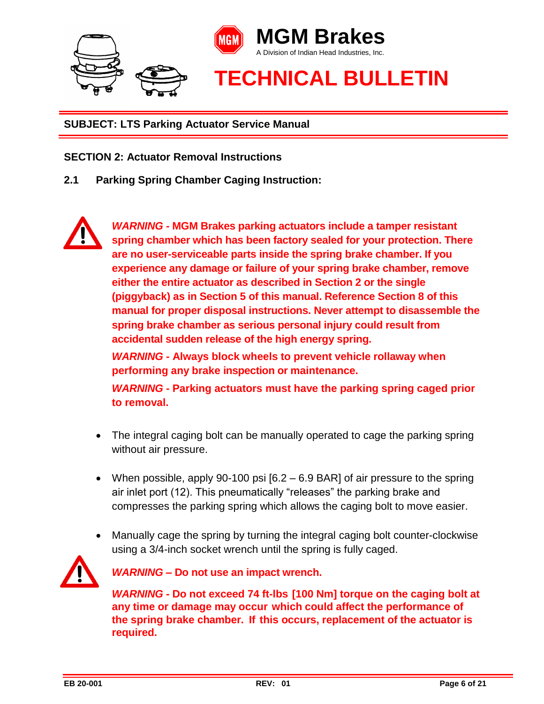

#### **SECTION 2: Actuator Removal Instructions**

**2.1 Parking Spring Chamber Caging Instruction:** 

*WARNING -* **MGM Brakes parking actuators include a tamper resistant spring chamber which has been factory sealed for your protection. There are no user-serviceable parts inside the spring brake chamber. If you experience any damage or failure of your spring brake chamber, remove either the entire actuator as described in Section 2 or the single (piggyback) as in Section 5 of this manual. Reference Section 8 of this manual for proper disposal instructions. Never attempt to disassemble the spring brake chamber as serious personal injury could result from accidental sudden release of the high energy spring.**

*WARNING -* **Always block wheels to prevent vehicle rollaway when performing any brake inspection or maintenance.**

*WARNING -* **Parking actuators must have the parking spring caged prior to removal.** 

- The integral caging bolt can be manually operated to cage the parking spring without air pressure.
- When possible, apply 90-100 psi  $[6.2 6.9 \text{ BAR}]$  of air pressure to the spring air inlet port (12). This pneumatically "releases" the parking brake and compresses the parking spring which allows the caging bolt to move easier.
- Manually cage the spring by turning the integral caging bolt counter-clockwise using a 3/4-inch socket wrench until the spring is fully caged.



*WARNING* **– Do not use an impact wrench.**

*WARNING* **- Do not exceed 74 ft-lbs [100 Nm] torque on the caging bolt at any time or damage may occur which could affect the performance of the spring brake chamber. If this occurs, replacement of the actuator is required.**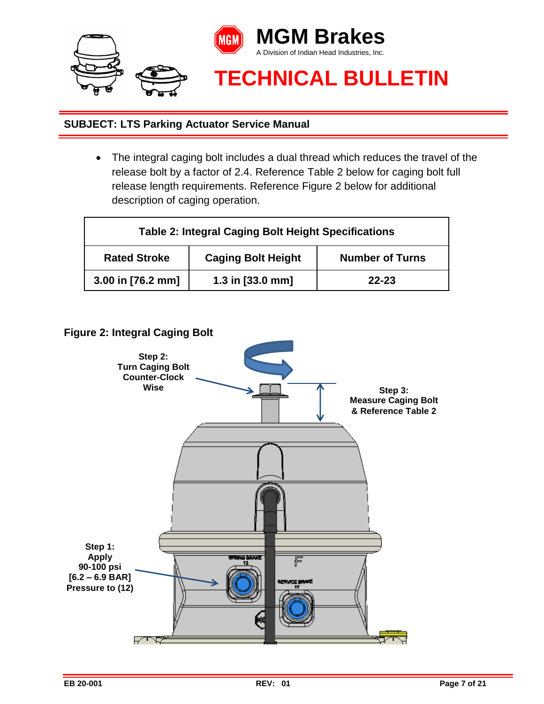

 The integral caging bolt includes a dual thread which reduces the travel of the release bolt by a factor of 2.4. Reference Table 2 below for caging bolt full release length requirements. Reference Figure 2 below for additional description of caging operation.

| <b>Table 2: Integral Caging Bolt Height Specifications</b> |                           |                        |
|------------------------------------------------------------|---------------------------|------------------------|
| <b>Rated Stroke</b>                                        | <b>Caging Bolt Height</b> | <b>Number of Turns</b> |
| 3.00 in [76.2 mm]                                          | 1.3 in [33.0 mm]          | $22 - 23$              |

**Figure 2: Integral Caging Bolt** 

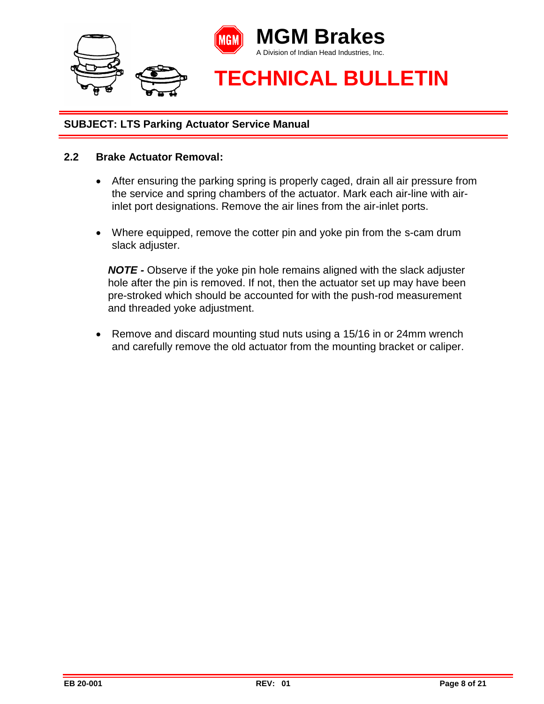

#### **2.2 Brake Actuator Removal:**

- After ensuring the parking spring is properly caged, drain all air pressure from the service and spring chambers of the actuator. Mark each air-line with airinlet port designations. Remove the air lines from the air-inlet ports.
- Where equipped, remove the cotter pin and yoke pin from the s-cam drum slack adjuster.

*NOTE -* Observe if the yoke pin hole remains aligned with the slack adjuster hole after the pin is removed. If not, then the actuator set up may have been pre-stroked which should be accounted for with the push-rod measurement and threaded yoke adjustment.

• Remove and discard mounting stud nuts using a 15/16 in or 24mm wrench and carefully remove the old actuator from the mounting bracket or caliper.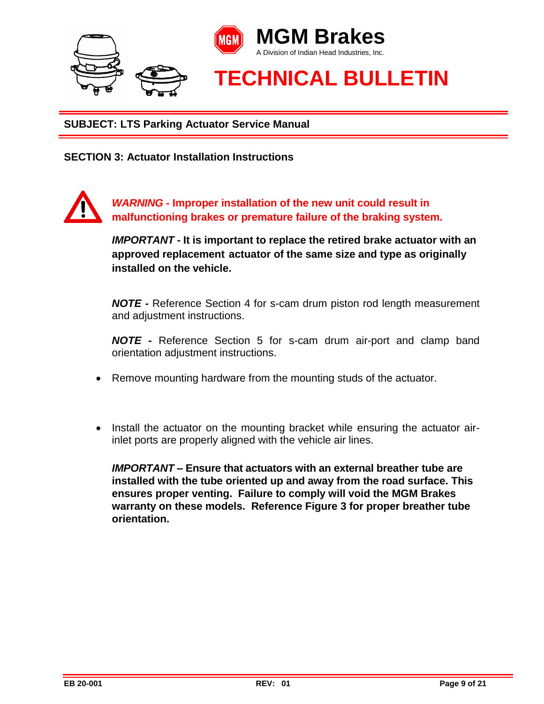

**SECTION 3: Actuator Installation Instructions** 

*WARNING -* **Improper installation of the new unit could result in malfunctioning brakes or premature failure of the braking system.**

> *IMPORTANT* **- It is important to replace the retired brake actuator with an approved replacement actuator of the same size and type as originally installed on the vehicle.**

> *NOTE -* Reference Section 4 for s-cam drum piston rod length measurement and adjustment instructions.

> *NOTE -* Reference Section 5 for s-cam drum air-port and clamp band orientation adjustment instructions.

- Remove mounting hardware from the mounting studs of the actuator.
- Install the actuator on the mounting bracket while ensuring the actuator airinlet ports are properly aligned with the vehicle air lines.

*IMPORTANT* **– Ensure that actuators with an external breather tube are installed with the tube oriented up and away from the road surface. This ensures proper venting. Failure to comply will void the MGM Brakes warranty on these models. Reference Figure 3 for proper breather tube orientation.**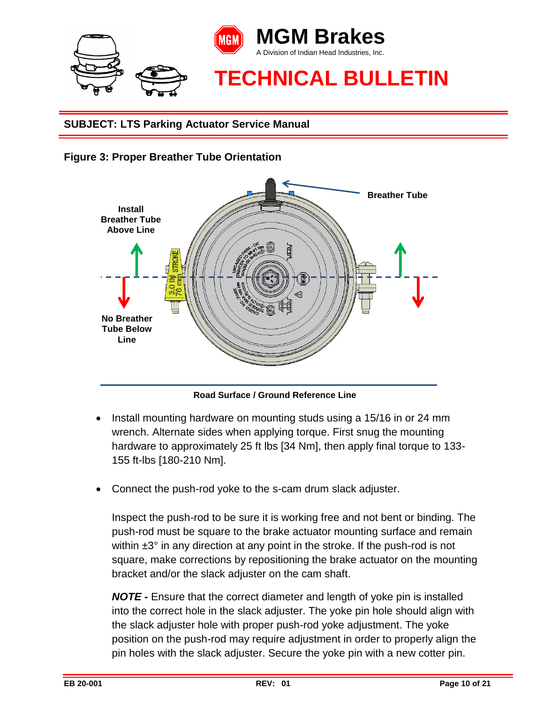





**Road Surface / Ground Reference Line**

- Install mounting hardware on mounting studs using a 15/16 in or 24 mm wrench. Alternate sides when applying torque. First snug the mounting hardware to approximately 25 ft lbs [34 Nm], then apply final torque to 133- 155 ft-lbs [180-210 Nm].
- Connect the push-rod yoke to the s-cam drum slack adjuster.

Inspect the push-rod to be sure it is working free and not bent or binding. The push-rod must be square to the brake actuator mounting surface and remain within  $\pm 3^\circ$  in any direction at any point in the stroke. If the push-rod is not square, make corrections by repositioning the brake actuator on the mounting bracket and/or the slack adjuster on the cam shaft.

*NOTE -* Ensure that the correct diameter and length of yoke pin is installed into the correct hole in the slack adjuster. The yoke pin hole should align with the slack adjuster hole with proper push-rod yoke adjustment. The yoke position on the push-rod may require adjustment in order to properly align the pin holes with the slack adjuster. Secure the yoke pin with a new cotter pin.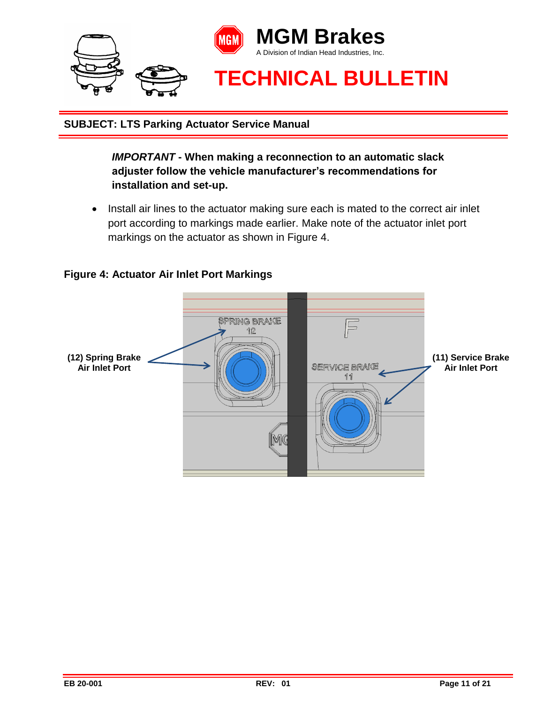

*IMPORTANT* **- When making a reconnection to an automatic slack adjuster follow the vehicle manufacturer's recommendations for installation and set-up.**

• Install air lines to the actuator making sure each is mated to the correct air inlet port according to markings made earlier. Make note of the actuator inlet port markings on the actuator as shown in Figure 4.

## **Figure 4: Actuator Air Inlet Port Markings**

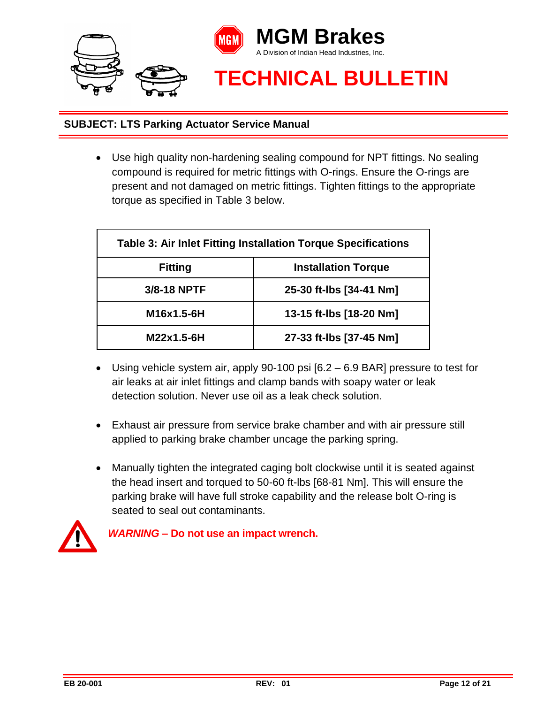

 Use high quality non-hardening sealing compound for NPT fittings. No sealing compound is required for metric fittings with O-rings. Ensure the O-rings are present and not damaged on metric fittings. Tighten fittings to the appropriate torque as specified in Table 3 below.

| Table 3: Air Inlet Fitting Installation Torque Specifications |                            |  |
|---------------------------------------------------------------|----------------------------|--|
| <b>Fitting</b>                                                | <b>Installation Torque</b> |  |
| 3/8-18 NPTF                                                   | 25-30 ft-lbs [34-41 Nm]    |  |
| M16x1.5-6H                                                    | 13-15 ft-lbs [18-20 Nm]    |  |
| M22x1.5-6H                                                    | 27-33 ft-lbs [37-45 Nm]    |  |

- Using vehicle system air, apply 90-100 psi [6.2 6.9 BAR] pressure to test for air leaks at air inlet fittings and clamp bands with soapy water or leak detection solution. Never use oil as a leak check solution.
- Exhaust air pressure from service brake chamber and with air pressure still applied to parking brake chamber uncage the parking spring.
- Manually tighten the integrated caging bolt clockwise until it is seated against the head insert and torqued to 50-60 ft-lbs [68-81 Nm]. This will ensure the parking brake will have full stroke capability and the release bolt O-ring is seated to seal out contaminants.



*WARNING* **– Do not use an impact wrench.**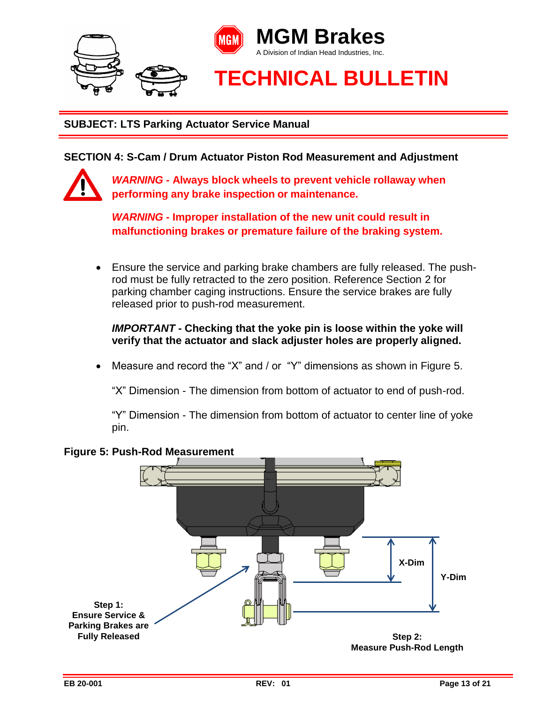

**SECTION 4: S-Cam / Drum Actuator Piston Rod Measurement and Adjustment**



*WARNING -* **Always block wheels to prevent vehicle rollaway when performing any brake inspection or maintenance.**

*WARNING -* **Improper installation of the new unit could result in malfunctioning brakes or premature failure of the braking system.**

 Ensure the service and parking brake chambers are fully released. The pushrod must be fully retracted to the zero position. Reference Section 2 for parking chamber caging instructions. Ensure the service brakes are fully released prior to push-rod measurement.

*IMPORTANT -* **Checking that the yoke pin is loose within the yoke will verify that the actuator and slack adjuster holes are properly aligned.**

Measure and record the "X" and / or "Y" dimensions as shown in Figure 5.

"X" Dimension - The dimension from bottom of actuator to end of push-rod.

"Y" Dimension - The dimension from bottom of actuator to center line of yoke pin.



### **Figure 5: Push-Rod Measurement**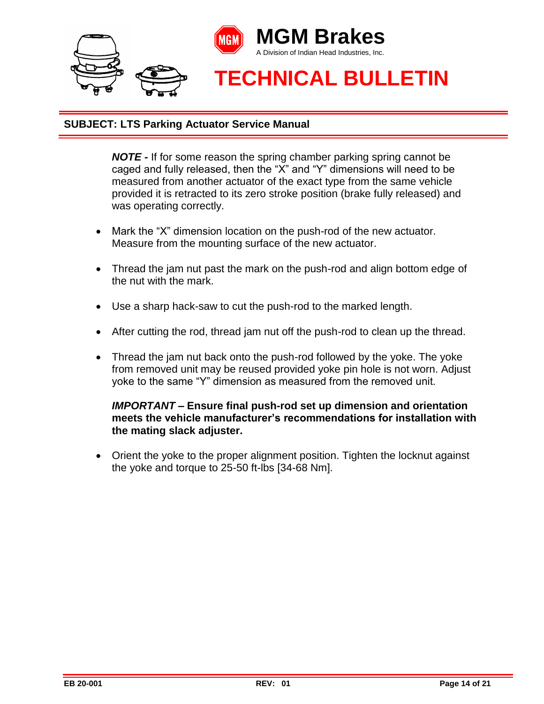

*NOTE -* If for some reason the spring chamber parking spring cannot be caged and fully released, then the "X" and "Y" dimensions will need to be measured from another actuator of the exact type from the same vehicle provided it is retracted to its zero stroke position (brake fully released) and was operating correctly.

- Mark the "X" dimension location on the push-rod of the new actuator. Measure from the mounting surface of the new actuator.
- Thread the jam nut past the mark on the push-rod and align bottom edge of the nut with the mark.
- Use a sharp hack-saw to cut the push-rod to the marked length.
- After cutting the rod, thread jam nut off the push-rod to clean up the thread.
- Thread the jam nut back onto the push-rod followed by the yoke. The yoke from removed unit may be reused provided yoke pin hole is not worn. Adjust yoke to the same "Y" dimension as measured from the removed unit.

#### *IMPORTANT –* **Ensure final push-rod set up dimension and orientation meets the vehicle manufacturer's recommendations for installation with the mating slack adjuster.**

• Orient the yoke to the proper alignment position. Tighten the locknut against the yoke and torque to 25-50 ft-lbs [34-68 Nm].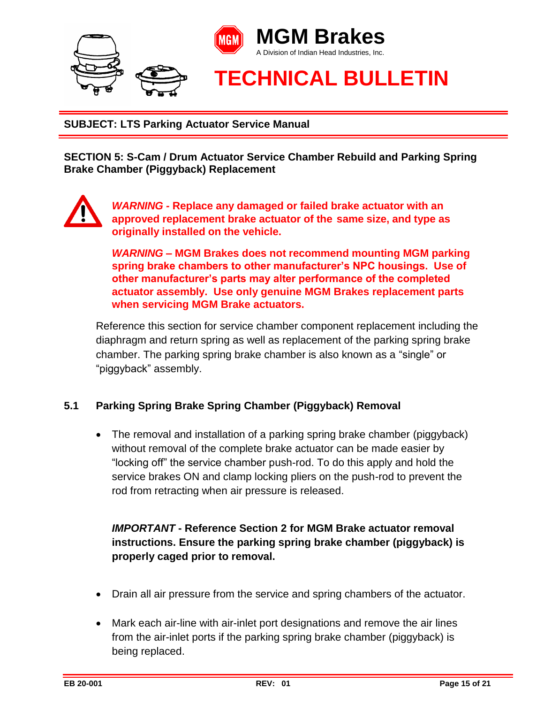

**SECTION 5: S-Cam / Drum Actuator Service Chamber Rebuild and Parking Spring Brake Chamber (Piggyback) Replacement**



*WARNING -* **Replace any damaged or failed brake actuator with an approved replacement brake actuator of the same size, and type as originally installed on the vehicle.**

*WARNING –* **MGM Brakes does not recommend mounting MGM parking spring brake chambers to other manufacturer's NPC housings. Use of other manufacturer's parts may alter performance of the completed actuator assembly. Use only genuine MGM Brakes replacement parts when servicing MGM Brake actuators.** 

Reference this section for service chamber component replacement including the diaphragm and return spring as well as replacement of the parking spring brake chamber. The parking spring brake chamber is also known as a "single" or "piggyback" assembly.

### **5.1 Parking Spring Brake Spring Chamber (Piggyback) Removal**

• The removal and installation of a parking spring brake chamber (piggyback) without removal of the complete brake actuator can be made easier by "locking off" the service chamber push-rod. To do this apply and hold the service brakes ON and clamp locking pliers on the push-rod to prevent the rod from retracting when air pressure is released.

# *IMPORTANT* **- Reference Section 2 for MGM Brake actuator removal instructions. Ensure the parking spring brake chamber (piggyback) is properly caged prior to removal.**

- Drain all air pressure from the service and spring chambers of the actuator.
- Mark each air-line with air-inlet port designations and remove the air lines from the air-inlet ports if the parking spring brake chamber (piggyback) is being replaced.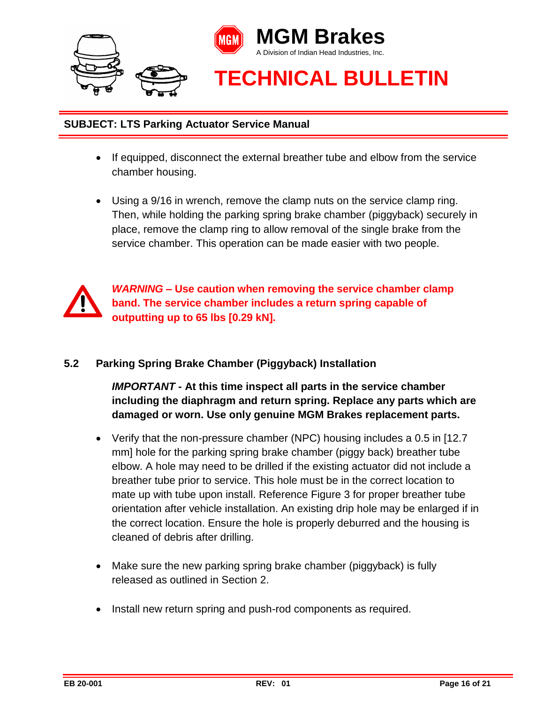

- If equipped, disconnect the external breather tube and elbow from the service chamber housing.
- Using a 9/16 in wrench, remove the clamp nuts on the service clamp ring. Then, while holding the parking spring brake chamber (piggyback) securely in place, remove the clamp ring to allow removal of the single brake from the service chamber. This operation can be made easier with two people.



*WARNING* **– Use caution when removing the service chamber clamp band. The service chamber includes a return spring capable of outputting up to 65 lbs [0.29 kN].**

## **5.2 Parking Spring Brake Chamber (Piggyback) Installation**

*IMPORTANT* **- At this time inspect all parts in the service chamber including the diaphragm and return spring. Replace any parts which are damaged or worn. Use only genuine MGM Brakes replacement parts.**

- Verify that the non-pressure chamber (NPC) housing includes a 0.5 in [12.7 mm] hole for the parking spring brake chamber (piggy back) breather tube elbow. A hole may need to be drilled if the existing actuator did not include a breather tube prior to service. This hole must be in the correct location to mate up with tube upon install. Reference Figure 3 for proper breather tube orientation after vehicle installation. An existing drip hole may be enlarged if in the correct location. Ensure the hole is properly deburred and the housing is cleaned of debris after drilling.
- Make sure the new parking spring brake chamber (piggyback) is fully released as outlined in Section 2.
- Install new return spring and push-rod components as required.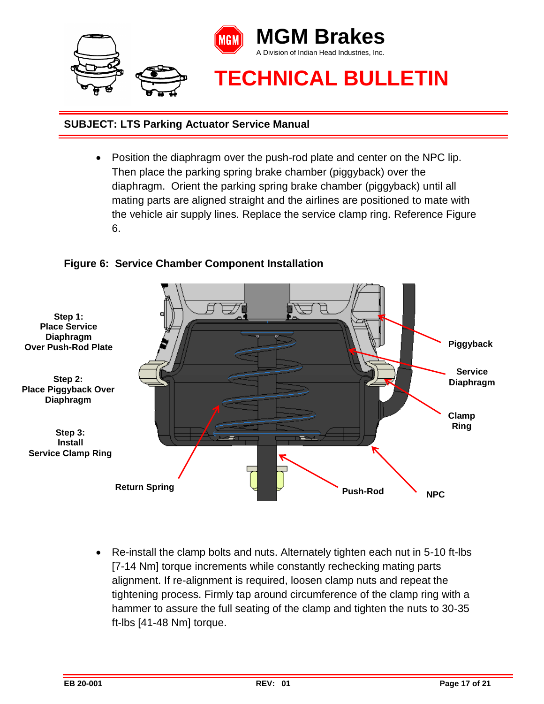

 Position the diaphragm over the push-rod plate and center on the NPC lip. Then place the parking spring brake chamber (piggyback) over the diaphragm. Orient the parking spring brake chamber (piggyback) until all mating parts are aligned straight and the airlines are positioned to mate with the vehicle air supply lines. Replace the service clamp ring. Reference Figure 6.

# **Figure 6: Service Chamber Component Installation**



 Re-install the clamp bolts and nuts. Alternately tighten each nut in 5-10 ft-lbs [7-14 Nm] torque increments while constantly rechecking mating parts alignment. If re-alignment is required, loosen clamp nuts and repeat the tightening process. Firmly tap around circumference of the clamp ring with a hammer to assure the full seating of the clamp and tighten the nuts to 30-35 ft-lbs [41-48 Nm] torque.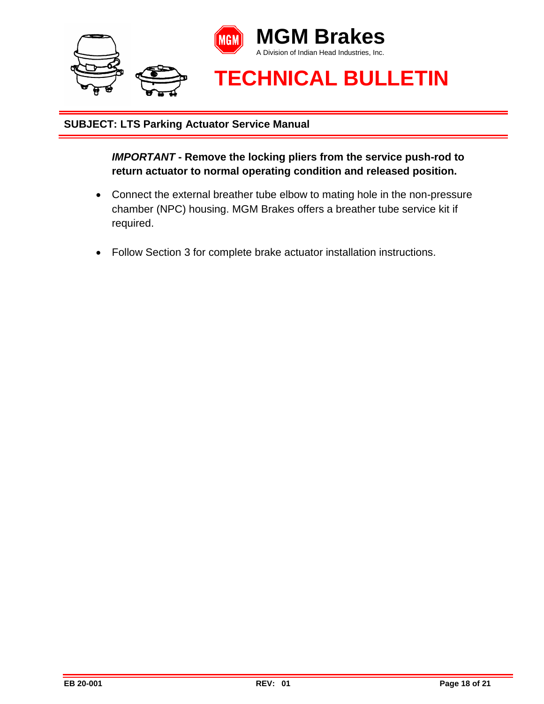

*IMPORTANT* **- Remove the locking pliers from the service push-rod to return actuator to normal operating condition and released position.** 

- Connect the external breather tube elbow to mating hole in the non-pressure chamber (NPC) housing. MGM Brakes offers a breather tube service kit if required.
- Follow Section 3 for complete brake actuator installation instructions.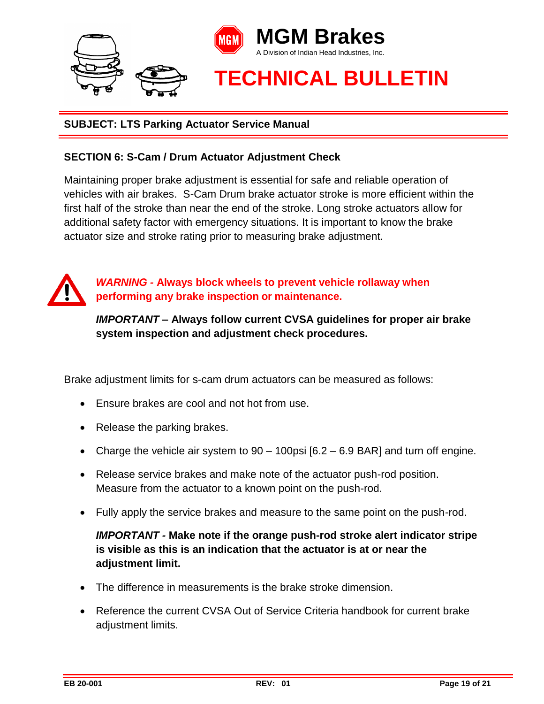

### **SECTION 6: S-Cam / Drum Actuator Adjustment Check**

Maintaining proper brake adjustment is essential for safe and reliable operation of vehicles with air brakes. S-Cam Drum brake actuator stroke is more efficient within the first half of the stroke than near the end of the stroke. Long stroke actuators allow for additional safety factor with emergency situations. It is important to know the brake actuator size and stroke rating prior to measuring brake adjustment.



*WARNING -* **Always block wheels to prevent vehicle rollaway when performing any brake inspection or maintenance.**

*IMPORTANT –* **Always follow current CVSA guidelines for proper air brake system inspection and adjustment check procedures.** 

Brake adjustment limits for s-cam drum actuators can be measured as follows:

- Ensure brakes are cool and not hot from use.
- Release the parking brakes.
- Charge the vehicle air system to  $90 100$  psi  $[6.2 6.9$  BAR] and turn off engine.
- Release service brakes and make note of the actuator push-rod position. Measure from the actuator to a known point on the push-rod.
- Fully apply the service brakes and measure to the same point on the push-rod.

*IMPORTANT -* **Make note if the orange push-rod stroke alert indicator stripe is visible as this is an indication that the actuator is at or near the adjustment limit.** 

- The difference in measurements is the brake stroke dimension.
- Reference the current CVSA Out of Service Criteria handbook for current brake adjustment limits.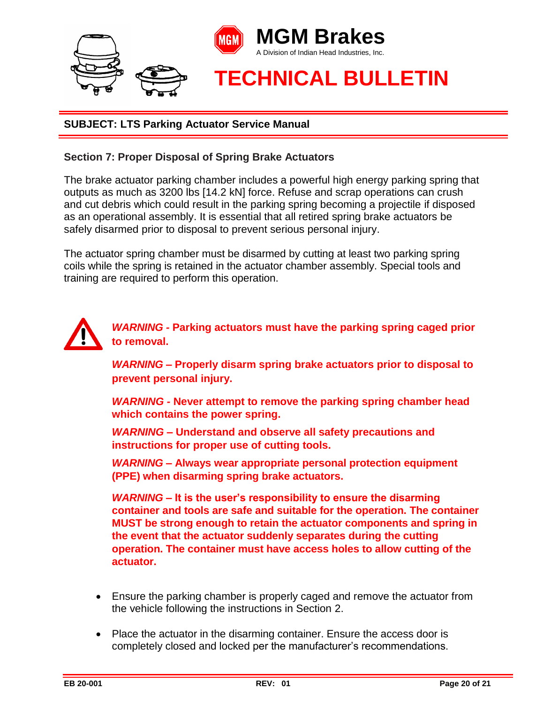

#### **Section 7: Proper Disposal of Spring Brake Actuators**

The brake actuator parking chamber includes a powerful high energy parking spring that outputs as much as 3200 lbs [14.2 kN] force. Refuse and scrap operations can crush and cut debris which could result in the parking spring becoming a projectile if disposed as an operational assembly. It is essential that all retired spring brake actuators be safely disarmed prior to disposal to prevent serious personal injury.

The actuator spring chamber must be disarmed by cutting at least two parking spring coils while the spring is retained in the actuator chamber assembly. Special tools and training are required to perform this operation.



*WARNING -* **Parking actuators must have the parking spring caged prior to removal.** 

*WARNING –* **Properly disarm spring brake actuators prior to disposal to prevent personal injury.** 

*WARNING -* **Never attempt to remove the parking spring chamber head which contains the power spring.** 

*WARNING –* **Understand and observe all safety precautions and instructions for proper use of cutting tools.** 

*WARNING –* **Always wear appropriate personal protection equipment (PPE) when disarming spring brake actuators.** 

*WARNING –* **It is the user's responsibility to ensure the disarming container and tools are safe and suitable for the operation. The container MUST be strong enough to retain the actuator components and spring in the event that the actuator suddenly separates during the cutting operation. The container must have access holes to allow cutting of the actuator.** 

- Ensure the parking chamber is properly caged and remove the actuator from the vehicle following the instructions in Section 2.
- Place the actuator in the disarming container. Ensure the access door is completely closed and locked per the manufacturer's recommendations.